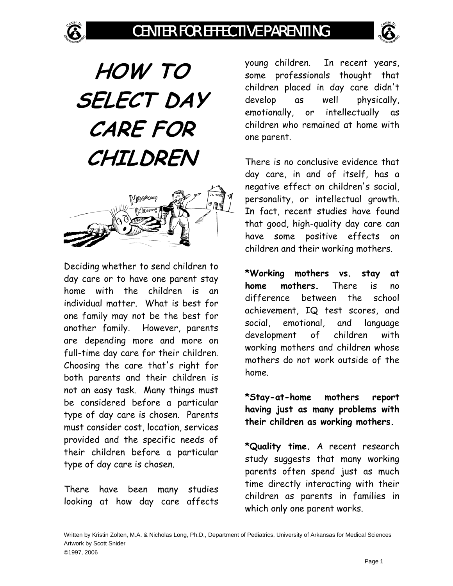# CENTER FOR EFFECTIVE PARENTING



**HOW TO SELECT DAY CARE FOR CHILDREN** 



Deciding whether to send children to day care or to have one parent stay home with the children is an individual matter. What is best for one family may not be the best for another family. However, parents are depending more and more on full-time day care for their children. Choosing the care that's right for both parents and their children is not an easy task. Many things must be considered before a particular type of day care is chosen. Parents must consider cost, location, services provided and the specific needs of their children before a particular type of day care is chosen.

There have been many studies looking at how day care affects

young children. In recent years, some professionals thought that children placed in day care didn't develop as well physically, emotionally, or intellectually as children who remained at home with one parent.

There is no conclusive evidence that day care, in and of itself, has a negative effect on children's social, personality, or intellectual growth. In fact, recent studies have found that good, high-quality day care can have some positive effects on children and their working mothers.

**\*Working mothers vs. stay at home mothers.** There is no difference between the school achievement, IQ test scores, and social, emotional, and language development of children with working mothers and children whose mothers do not work outside of the home.

**\*Stay-at-home mothers report having just as many problems with their children as working mothers.** 

**\*Quality time.** A recent research study suggests that many working parents often spend just as much time directly interacting with their children as parents in families in which only one parent works.

Written by Kristin Zolten, M.A. & Nicholas Long, Ph.D., Department of Pediatrics, University of Arkansas for Medical Sciences Artwork by Scott Snider ©1997, 2006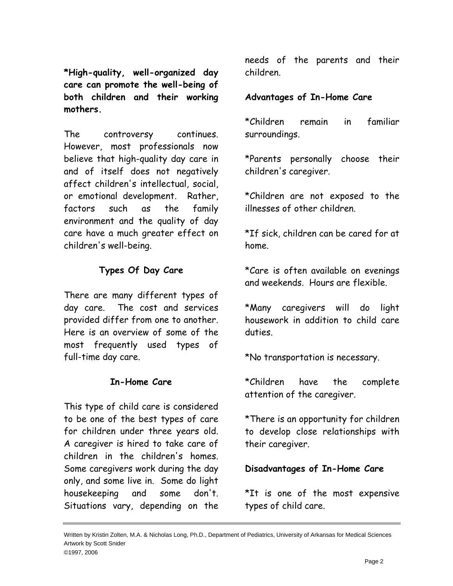**\*High-quality, well-organized day care can promote the well-being of both children and their working mothers.** 

The controversy continues. However, most professionals now believe that high-quality day care in and of itself does not negatively affect children's intellectual, social, or emotional development. Rather, factors such as the family environment and the quality of day care have a much greater effect on children's well-being.

# **Types Of Day Care**

There are many different types of day care. The cost and services provided differ from one to another. Here is an overview of some of the most frequently used types of full-time day care.

#### **In-Home Care**

This type of child care is considered to be one of the best types of care for children under three years old. A caregiver is hired to take care of children in the children's homes. Some caregivers work during the day only, and some live in. Some do light housekeeping and some don't. Situations vary, depending on the needs of the parents and their children.

# **Advantages of In-Home Care**

\*Children remain in familiar surroundings.

\*Parents personally choose their children's caregiver.

\*Children are not exposed to the illnesses of other children.

\*If sick, children can be cared for at home.

\*Care is often available on evenings and weekends. Hours are flexible.

\*Many caregivers will do light housework in addition to child care duties.

\*No transportation is necessary.

\*Children have the complete attention of the caregiver.

\*There is an opportunity for children to develop close relationships with their caregiver.

**Disadvantages of In-Home Care**

\*It is one of the most expensive types of child care.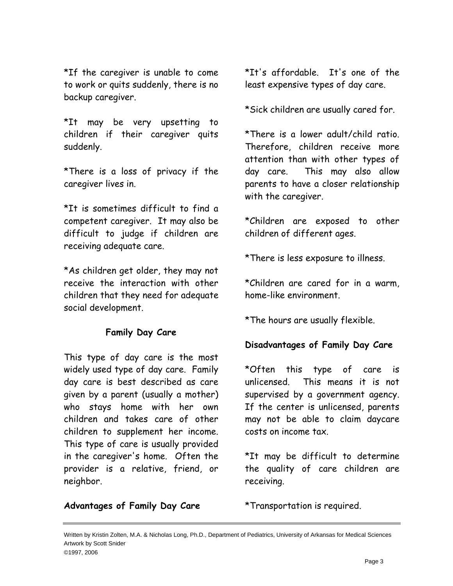\*If the caregiver is unable to come to work or quits suddenly, there is no backup caregiver.

\*It may be very upsetting to children if their caregiver quits suddenly.

\*There is a loss of privacy if the caregiver lives in.

\*It is sometimes difficult to find a competent caregiver. It may also be difficult to judge if children are receiving adequate care.

\*As children get older, they may not receive the interaction with other children that they need for adequate social development.

### **Family Day Care**

This type of day care is the most widely used type of day care. Family day care is best described as care given by a parent (usually a mother) who stays home with her own children and takes care of other children to supplement her income. This type of care is usually provided in the caregiver's home. Often the provider is a relative, friend, or neighbor.

\*It's affordable. It's one of the least expensive types of day care.

\*Sick children are usually cared for.

\*There is a lower adult/child ratio. Therefore, children receive more attention than with other types of day care. This may also allow parents to have a closer relationship with the caregiver.

\*Children are exposed to other children of different ages.

\*There is less exposure to illness.

\*Children are cared for in a warm, home-like environment.

\*The hours are usually flexible.

### **Disadvantages of Family Day Care**

\*Often this type of care is unlicensed. This means it is not supervised by a government agency. If the center is unlicensed, parents may not be able to claim daycare costs on income tax.

\*It may be difficult to determine the quality of care children are receiving.

**Advantages of Family Day Care**

\*Transportation is required.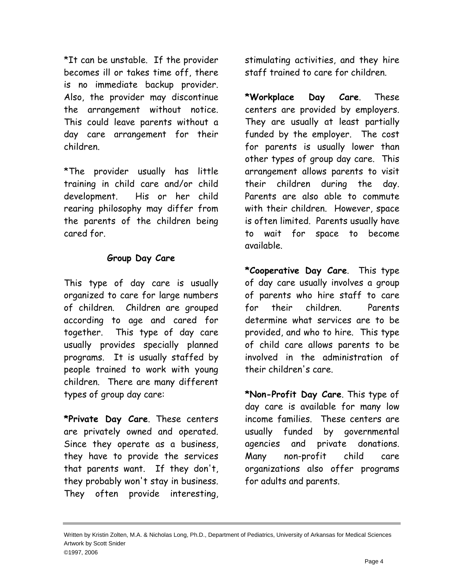\*It can be unstable. If the provider becomes ill or takes time off, there is no immediate backup provider. Also, the provider may discontinue the arrangement without notice. This could leave parents without a day care arrangement for their children.

\*The provider usually has little training in child care and/or child development. His or her child rearing philosophy may differ from the parents of the children being cared for.

### **Group Day Care**

This type of day care is usually organized to care for large numbers of children. Children are grouped according to age and cared for together. This type of day care usually provides specially planned programs. It is usually staffed by people trained to work with young children. There are many different types of group day care:

**\*Private Day Care**. These centers are privately owned and operated. Since they operate as a business, they have to provide the services that parents want. If they don't, they probably won't stay in business. They often provide interesting, stimulating activities, and they hire staff trained to care for children.

**\*Workplace Day Care**. These centers are provided by employers. They are usually at least partially funded by the employer. The cost for parents is usually lower than other types of group day care. This arrangement allows parents to visit their children during the day. Parents are also able to commute with their children. However, space is often limited. Parents usually have to wait for space to become available.

**\*Cooperative Day Care**. This type of day care usually involves a group of parents who hire staff to care for their children. Parents determine what services are to be provided, and who to hire. This type of child care allows parents to be involved in the administration of their children's care.

**\*Non-Profit Day Care**. This type of day care is available for many low income families. These centers are usually funded by governmental agencies and private donations. Many non-profit child care organizations also offer programs for adults and parents.

Written by Kristin Zolten, M.A. & Nicholas Long, Ph.D., Department of Pediatrics, University of Arkansas for Medical Sciences Artwork by Scott Snider ©1997, 2006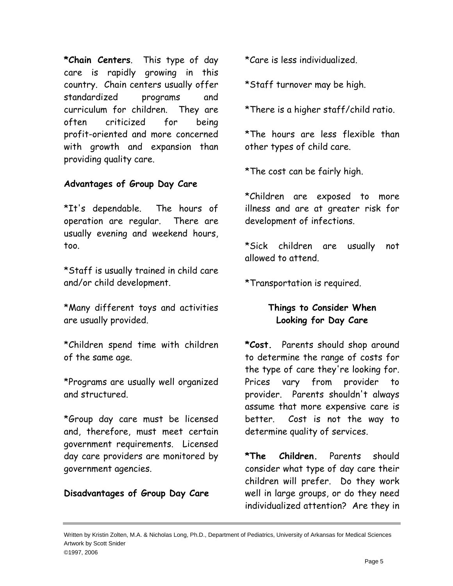**\*Chain Centers**. This type of day care is rapidly growing in this country. Chain centers usually offer standardized programs and curriculum for children. They are often criticized for being profit-oriented and more concerned with growth and expansion than providing quality care.

### **Advantages of Group Day Care**

\*It's dependable. The hours of operation are regular. There are usually evening and weekend hours, too.

\*Staff is usually trained in child care and/or child development.

\*Many different toys and activities are usually provided.

\*Children spend time with children of the same age.

\*Programs are usually well organized and structured.

\*Group day care must be licensed and, therefore, must meet certain government requirements. Licensed day care providers are monitored by government agencies.

### **Disadvantages of Group Day Care**

\*Care is less individualized.

\*Staff turnover may be high.

\*There is a higher staff/child ratio.

\*The hours are less flexible than other types of child care.

\*The cost can be fairly high.

\*Children are exposed to more illness and are at greater risk for development of infections.

\*Sick children are usually not allowed to attend.

\*Transportation is required.

# **Things to Consider When Looking for Day Care**

**\*Cost.** Parents should shop around to determine the range of costs for the type of care they're looking for. Prices vary from provider to provider. Parents shouldn't always assume that more expensive care is better. Cost is not the way to determine quality of services.

**\*The Children.** Parents should consider what type of day care their children will prefer. Do they work well in large groups, or do they need individualized attention? Are they in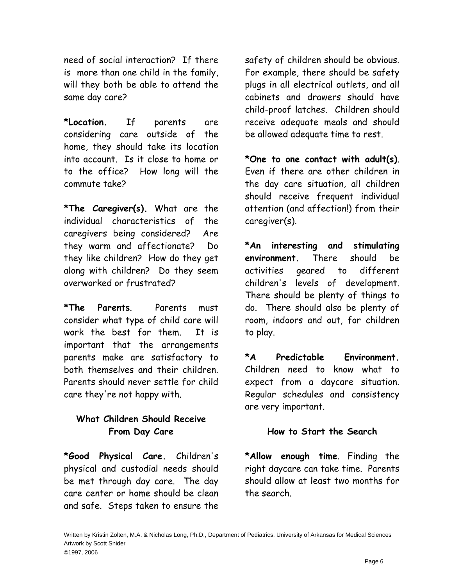need of social interaction? If there is more than one child in the family, will they both be able to attend the same day care?

**\*Location.** If parents are considering care outside of the home, they should take its location into account. Is it close to home or to the office? How long will the commute take?

**\*The Caregiver(s).** What are the individual characteristics of the caregivers being considered? Are they warm and affectionate? Do they like children? How do they get along with children? Do they seem overworked or frustrated?

**\*The Parents**. Parents must consider what type of child care will work the best for them. It is important that the arrangements parents make are satisfactory to both themselves and their children. Parents should never settle for child care they're not happy with.

# **What Children Should Receive From Day Care**

**\*Good Physical Care.** Children's physical and custodial needs should be met through day care. The day care center or home should be clean and safe. Steps taken to ensure the

safety of children should be obvious. For example, there should be safety plugs in all electrical outlets, and all cabinets and drawers should have child-proof latches. Children should receive adequate meals and should be allowed adequate time to rest.

**\*One to one contact with adult(s)**. Even if there are other children in the day care situation, all children should receive frequent individual attention (and affection!) from their caregiver(s).

**\*An interesting and stimulating environment.** There should be activities geared to different children's levels of development. There should be plenty of things to do. There should also be plenty of room, indoors and out, for children to play.

**\*A Predictable Environment.** Children need to know what to expect from a daycare situation. Regular schedules and consistency are very important.

#### **How to Start the Search**

**\*Allow enough time**. Finding the right daycare can take time. Parents should allow at least two months for the search.

Written by Kristin Zolten, M.A. & Nicholas Long, Ph.D., Department of Pediatrics, University of Arkansas for Medical Sciences Artwork by Scott Snider ©1997, 2006